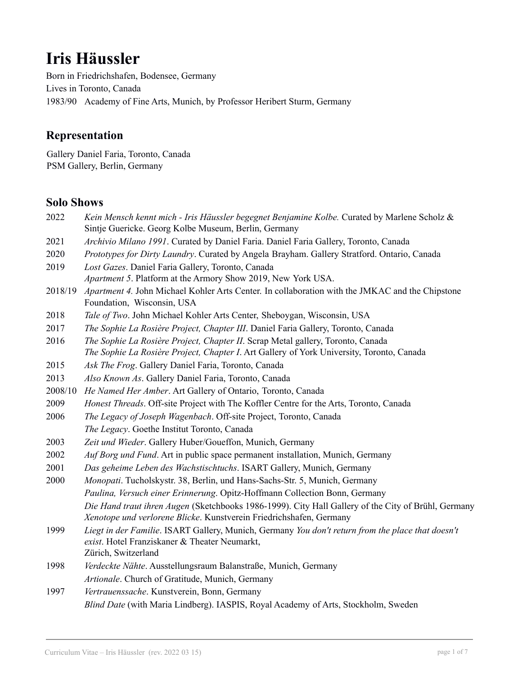# **Iris Häussler**

Born in Friedrichshafen, Bodensee, Germany Lives in Toronto, Canada 1983/90 Academy of Fine Arts, Munich, by Professor Heribert Sturm, Germany

## **Representation**

Gallery Daniel Faria, Toronto, Canada PSM Gallery, Berlin, Germany

#### **Solo Shows**

- 2022 *Kein Mensch kennt mich - Iris Häussler begegnet Benjamine Kolbe.* Curated by Marlene Scholz & Sintje Guericke. Georg Kolbe Museum, Berlin, Germany
- 2021 *Archivio Milano 1991*. Curated by Daniel Faria. Daniel Faria Gallery, Toronto, Canada
- 2020 *Prototypes for Dirty Laundry*. Curated by Angela Brayham. Gallery Stratford. Ontario, Canada
- 2019 *Lost Gazes*. Daniel Faria Gallery, Toronto, Canada *Apartment 5*. Platform at the Armory Show 2019, New York USA.
- 2018/19 *Apartment 4.* John Michael Kohler Arts Center. In collaboration with the JMKAC and the Chipstone Foundation, Wisconsin, USA
- 2018 *Tale of Two*. John Michael Kohler Arts Center, Sheboygan, Wisconsin, USA
- 2017 *The Sophie La Rosière Project, Chapter III*. Daniel Faria Gallery, Toronto, Canada
- 2016 *The Sophie La Rosière Project, Chapter II*. Scrap Metal gallery, Toronto, Canada *The Sophie La Rosière Project, Chapter I*. Art Gallery of York University, Toronto, Canada
- 2015 *Ask The Frog*. Gallery Daniel Faria, Toronto, Canada
- 2013 *Also Known As*. Gallery Daniel Faria, Toronto, Canada
- 2008/10 *He Named Her Amber*. Art Gallery of Ontario, Toronto, Canada
- 2009 *Honest Threads*. Off-site Project with The Koffler Centre for the Arts, Toronto, Canada
- 2006 *The Legacy of Joseph Wagenbach*. Off-site Project, Toronto, Canada
- *The Legacy*. Goethe Institut Toronto, Canada
- 2003 *Zeit und Wieder*. Gallery Huber/Goueffon, Munich, Germany
- 2002 *Auf Borg und Fund*. Art in public space permanent installation, Munich, Germany
- 2001 *Das geheime Leben des Wachstischtuchs*. ISART Gallery, Munich, Germany
- 2000 *Monopati*. Tucholskystr. 38, Berlin, und Hans-Sachs-Str. 5, Munich, Germany *Paulina, Versuch einer Erinnerung*. Opitz-Hoffmann Collection Bonn, Germany *Die Hand traut ihren Augen* (Sketchbooks 1986-1999). City Hall Gallery of the City of Brühl, Germany *Xenotope und verlorene Blicke*. Kunstverein Friedrichshafen, Germany
- 1999 *Liegt in der Familie*. ISART Gallery, Munich, Germany *You don't return from the place that doesn't exist*. Hotel Franziskaner & Theater Neumarkt, Zürich, Switzerland
- 1998 *Verdeckte Nähte*. Ausstellungsraum Balanstraße, Munich, Germany *Artionale*. Church of Gratitude, Munich, Germany
- 1997 *Vertrauenssache*. Kunstverein, Bonn, Germany *Blind Date* (with Maria Lindberg). IASPIS, Royal Academy of Arts, Stockholm, Sweden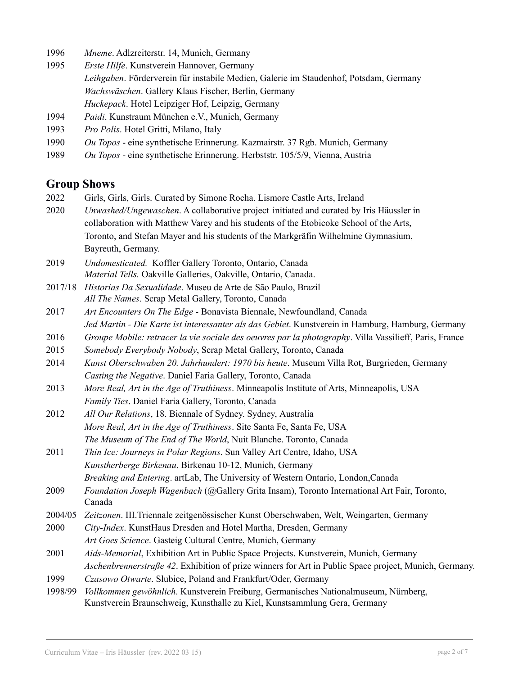- 1996 *Mneme*. Adlzreiterstr. 14, Munich, Germany
- 1995 *Erste Hilfe*. Kunstverein Hannover, Germany *Leihgaben*. Förderverein für instabile Medien, Galerie im Staudenhof, Potsdam, Germany *Wachswäschen*. Gallery Klaus Fischer, Berlin, Germany *Huckepack*. Hotel Leipziger Hof, Leipzig, Germany
- 1994 *Paidi*. Kunstraum München e.V., Munich, Germany
- 1993 *Pro Polis*. Hotel Gritti, Milano, Italy
- 1990 *Ou Topos* eine synthetische Erinnerung. Kazmairstr. 37 Rgb. Munich, Germany
- 1989 *Ou Topos* eine synthetische Erinnerung. Herbststr. 105/5/9, Vienna, Austria

#### **Group Shows**

- 2022 Girls, Girls, Girls. Curated by Simone Rocha. Lismore Castle Arts, Ireland
- 2020 *Unwashed/Ungewaschen*. A collaborative project initiated and curated by Iris Häussler in collaboration with Matthew Varey and his students of the Etobicoke School of the Arts, Toronto, and Stefan Mayer and his students of the Markgräfin Wilhelmine Gymnasium, Bayreuth, Germany.
- 2019 *Undomesticated.* Koffler Gallery Toronto, Ontario, Canada *Material Tells.* Oakville Galleries, Oakville, Ontario, Canada.
- 2017/18 *Historias Da Sexualidade*. Museu de Arte de São Paulo, Brazil *All The Names*. Scrap Metal Gallery, Toronto, Canada
- 2017 *Art Encounters On The Edge* Bonavista Biennale, Newfoundland, Canada *Jed Martin - Die Karte ist interessanter als das Gebiet*. Kunstverein in Hamburg, Hamburg, Germany
- 2016 *Groupe Mobile: retracer la vie sociale des oeuvres par la photography*. Villa Vassilieff, Paris, France
- 2015 *Somebody Everybody Nobody*, Scrap Metal Gallery, Toronto, Canada
- 2014 *Kunst Oberschwaben 20. Jahrhundert: 1970 bis heute*. Museum Villa Rot, Burgrieden, Germany *Casting the Negative*. Daniel Faria Gallery, Toronto, Canada
- 2013 *More Real, Art in the Age of Truthiness*. Minneapolis Institute of Arts, Minneapolis, USA *Family Ties*. Daniel Faria Gallery, Toronto, Canada
- 2012 *All Our Relations*, 18. Biennale of Sydney. Sydney, Australia *More Real, Art in the Age of Truthiness*. Site Santa Fe, Santa Fe, USA *The Museum of The End of The World*, Nuit Blanche. Toronto, Canada
- 2011 *Thin Ice: Journeys in Polar Regions*. Sun Valley Art Centre, Idaho, USA *Kunstherberge Birkenau*. Birkenau 10-12, Munich, Germany
	- *Breaking and Entering*. artLab, The University of Western Ontario, London,Canada
- 2009 *Foundation Joseph Wagenbach* (@Gallery Grita Insam), Toronto International Art Fair, Toronto, Canada

2004/05 *Zeitzonen*. III.Triennale zeitgenössischer Kunst Oberschwaben, Welt, Weingarten, Germany

- 2000 *City-Index*. KunstHaus Dresden and Hotel Martha, Dresden, Germany *Art Goes Science*. Gasteig Cultural Centre, Munich, Germany
- 2001 *Aids-Memorial*, Exhibition Art in Public Space Projects. Kunstverein, Munich, Germany *Aschenbrennerstraße 42*. Exhibition of prize winners for Art in Public Space project, Munich, Germany.
- 1999 *Czasowo Otwarte*. Slubice, Poland and Frankfurt/Oder, Germany
- 1998/99 *Vollkommen gewöhnlich*. Kunstverein Freiburg, Germanisches Nationalmuseum, Nürnberg, Kunstverein Braunschweig, Kunsthalle zu Kiel, Kunstsammlung Gera, Germany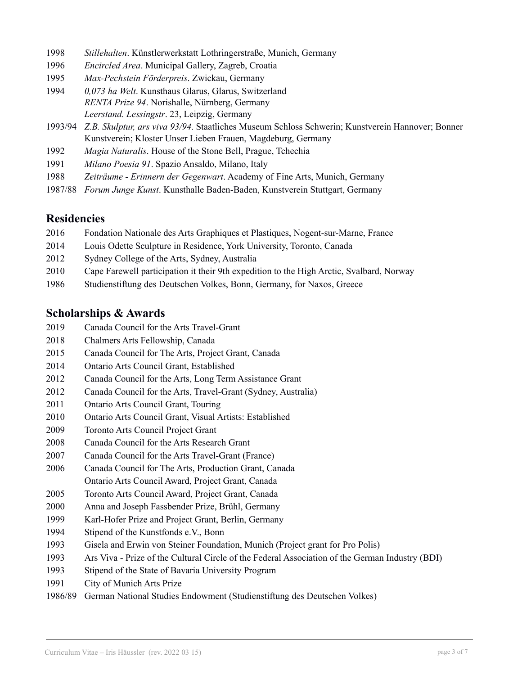- *Stillehalten*. Künstlerwerkstatt Lothringerstraße, Munich, Germany
- *Encircled Area*. Municipal Gallery, Zagreb, Croatia
- *Max-Pechstein Förderpreis*. Zwickau, Germany
- *0,073 ha Welt*. Kunsthaus Glarus, Glarus, Switzerland *RENTA Prize 94*. Norishalle, Nürnberg, Germany *Leerstand. Lessingstr*. 23, Leipzig, Germany
- 1993/94 *Z.B. Skulptur, ars viva 93/94*. Staatliches Museum Schloss Schwerin; Kunstverein Hannover; Bonner Kunstverein; Kloster Unser Lieben Frauen, Magdeburg, Germany
- *Magia Naturalis*. House of the Stone Bell, Prague, Tchechia
- *Milano Poesia 91*. Spazio Ansaldo, Milano, Italy
- *Zeiträume - Erinnern der Gegenwart*. Academy of Fine Arts, Munich, Germany
- 1987/88 *Forum Junge Kunst*. Kunsthalle Baden-Baden, Kunstverein Stuttgart, Germany

#### **Residencies**

- Fondation Nationale des Arts Graphiques et Plastiques, Nogent-sur-Marne, France
- Louis Odette Sculpture in Residence, York University, Toronto, Canada
- Sydney College of the Arts, Sydney, Australia
- Cape Farewell participation it their 9th expedition to the High Arctic, Svalbard, Norway
- Studienstiftung des Deutschen Volkes, Bonn, Germany, for Naxos, Greece

### **Scholarships & Awards**

- Canada Council for the Arts Travel-Grant
- Chalmers Arts Fellowship, Canada
- Canada Council for The Arts, Project Grant, Canada
- Ontario Arts Council Grant, Established
- Canada Council for the Arts, Long Term Assistance Grant
- Canada Council for the Arts, Travel-Grant (Sydney, Australia)
- Ontario Arts Council Grant, Touring
- Ontario Arts Council Grant, Visual Artists: Established
- Toronto Arts Council Project Grant
- Canada Council for the Arts Research Grant
- Canada Council for the Arts Travel-Grant (France)
- Canada Council for The Arts, Production Grant, Canada Ontario Arts Council Award, Project Grant, Canada
- Toronto Arts Council Award, Project Grant, Canada
- Anna and Joseph Fassbender Prize, Brühl, Germany
- Karl-Hofer Prize and Project Grant, Berlin, Germany
- Stipend of the Kunstfonds e.V., Bonn
- Gisela and Erwin von Steiner Foundation, Munich (Project grant for Pro Polis)
- Ars Viva Prize of the Cultural Circle of the Federal Association of the German Industry (BDI)
- Stipend of the State of Bavaria University Program
- City of Munich Arts Prize
- 1986/89 German National Studies Endowment (Studienstiftung des Deutschen Volkes)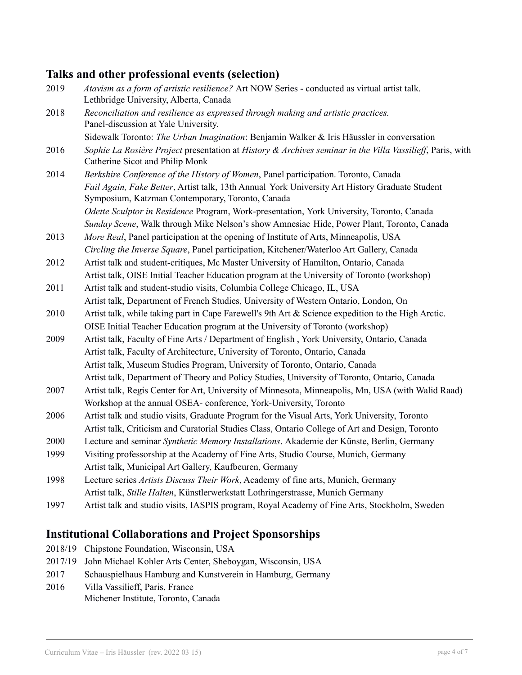## **Talks and other professional events (selection)**

| 2019 | Atavism as a form of artistic resilience? Art NOW Series - conducted as virtual artist talk.<br>Lethbridge University, Alberta, Canada             |
|------|----------------------------------------------------------------------------------------------------------------------------------------------------|
| 2018 | Reconciliation and resilience as expressed through making and artistic practices.<br>Panel-discussion at Yale University.                          |
|      | Sidewalk Toronto: The Urban Imagination: Benjamin Walker & Iris Häussler in conversation                                                           |
| 2016 | Sophie La Rosière Project presentation at History & Archives seminar in the Villa Vassilieff, Paris, with<br>Catherine Sicot and Philip Monk       |
| 2014 | Berkshire Conference of the History of Women, Panel participation. Toronto, Canada                                                                 |
|      | Fail Again, Fake Better, Artist talk, 13th Annual York University Art History Graduate Student<br>Symposium, Katzman Contemporary, Toronto, Canada |
|      | Odette Sculptor in Residence Program, Work-presentation, York University, Toronto, Canada                                                          |
|      | Sunday Scene, Walk through Mike Nelson's show Amnesiac Hide, Power Plant, Toronto, Canada                                                          |
| 2013 | More Real, Panel participation at the opening of Institute of Arts, Minneapolis, USA                                                               |
|      | Circling the Inverse Square, Panel participation, Kitchener/Waterloo Art Gallery, Canada                                                           |
| 2012 | Artist talk and student-critiques, Mc Master University of Hamilton, Ontario, Canada                                                               |
|      | Artist talk, OISE Initial Teacher Education program at the University of Toronto (workshop)                                                        |
| 2011 | Artist talk and student-studio visits, Columbia College Chicago, IL, USA                                                                           |
|      | Artist talk, Department of French Studies, University of Western Ontario, London, On                                                               |
| 2010 | Artist talk, while taking part in Cape Farewell's 9th Art & Science expedition to the High Arctic.                                                 |
|      | OISE Initial Teacher Education program at the University of Toronto (workshop)                                                                     |
| 2009 | Artist talk, Faculty of Fine Arts / Department of English, York University, Ontario, Canada                                                        |
|      | Artist talk, Faculty of Architecture, University of Toronto, Ontario, Canada                                                                       |
|      | Artist talk, Museum Studies Program, University of Toronto, Ontario, Canada                                                                        |
|      | Artist talk, Department of Theory and Policy Studies, University of Toronto, Ontario, Canada                                                       |
| 2007 | Artist talk, Regis Center for Art, University of Minnesota, Minneapolis, Mn, USA (with Walid Raad)                                                 |
|      | Workshop at the annual OSEA- conference, York-University, Toronto                                                                                  |
| 2006 | Artist talk and studio visits, Graduate Program for the Visual Arts, York University, Toronto                                                      |
|      | Artist talk, Criticism and Curatorial Studies Class, Ontario College of Art and Design, Toronto                                                    |
| 2000 | Lecture and seminar Synthetic Memory Installations. Akademie der Künste, Berlin, Germany                                                           |
| 1999 | Visiting professorship at the Academy of Fine Arts, Studio Course, Munich, Germany                                                                 |
|      | Artist talk, Municipal Art Gallery, Kaufbeuren, Germany                                                                                            |
| 1998 | Lecture series Artists Discuss Their Work, Academy of fine arts, Munich, Germany                                                                   |
|      | Artist talk, Stille Halten, Künstlerwerkstatt Lothringerstrasse, Munich Germany                                                                    |
| 1997 | Artist talk and studio visits, IASPIS program, Royal Academy of Fine Arts, Stockholm, Sweden                                                       |

## **Institutional Collaborations and Project Sponsorships**

- 2018/19 Chipstone Foundation, Wisconsin, USA
- 2017/19 John Michael Kohler Arts Center, Sheboygan, Wisconsin, USA
- 2017 Schauspielhaus Hamburg and Kunstverein in Hamburg, Germany
- 2016 Villa Vassilieff, Paris, France Michener Institute, Toronto, Canada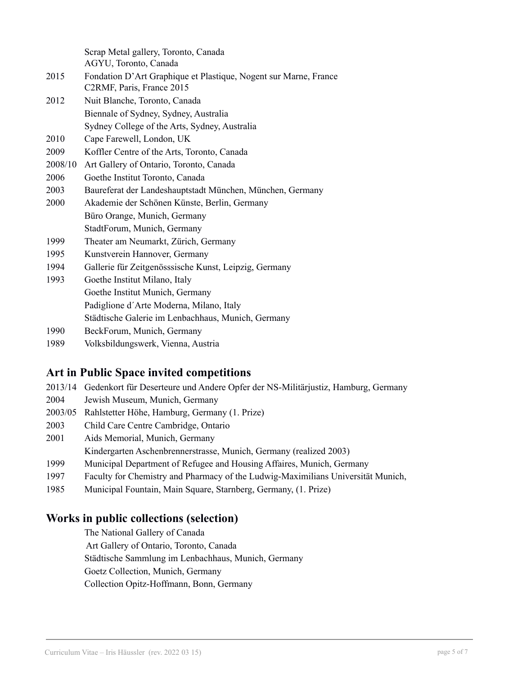Scrap Metal gallery, Toronto, Canada

- AGYU, Toronto, Canada
- 2015 Fondation D'Art Graphique et Plastique, Nogent sur Marne, France C2RMF, Paris, France 2015
- 2012 Nuit Blanche, Toronto, Canada Biennale of Sydney, Sydney, Australia Sydney College of the Arts, Sydney, Australia
- 2010 Cape Farewell, London, UK
- 2009 Koffler Centre of the Arts, Toronto, Canada
- 2008/10 Art Gallery of Ontario, Toronto, Canada
- 2006 Goethe Institut Toronto, Canada
- 2003 Baureferat der Landeshauptstadt München, München, Germany
- 2000 Akademie der Schönen Künste, Berlin, Germany Büro Orange, Munich, Germany StadtForum, Munich, Germany
- 1999 Theater am Neumarkt, Zürich, Germany
- 1995 Kunstverein Hannover, Germany
- 1994 Gallerie für Zeitgenösssische Kunst, Leipzig, Germany
- 1993 Goethe Institut Milano, Italy Goethe Institut Munich, Germany Padiglione d´Arte Moderna, Milano, Italy Städtische Galerie im Lenbachhaus, Munich, Germany
- 1990 BeckForum, Munich, Germany
- 1989 Volksbildungswerk, Vienna, Austria

## **Art in Public Space invited competitions**

- 2013/14 Gedenkort für Deserteure und Andere Opfer der NS-Militärjustiz, Hamburg, Germany
- 2004 Jewish Museum, Munich, Germany
- 2003/05 Rahlstetter Höhe, Hamburg, Germany (1. Prize)
- 2003 Child Care Centre Cambridge, Ontario
- 2001 Aids Memorial, Munich, Germany
	- Kindergarten Aschenbrennerstrasse, Munich, Germany (realized 2003)
- 1999 Municipal Department of Refugee and Housing Affaires, Munich, Germany
- 1997 Faculty for Chemistry and Pharmacy of the Ludwig-Maximilians Universität Munich,
- 1985 Municipal Fountain, Main Square, Starnberg, Germany, (1. Prize)

## **Works in public collections (selection)**

The National Gallery of Canada Art Gallery of Ontario, Toronto, Canada Städtische Sammlung im Lenbachhaus, Munich, Germany Goetz Collection, Munich, Germany Collection Opitz-Hoffmann, Bonn, Germany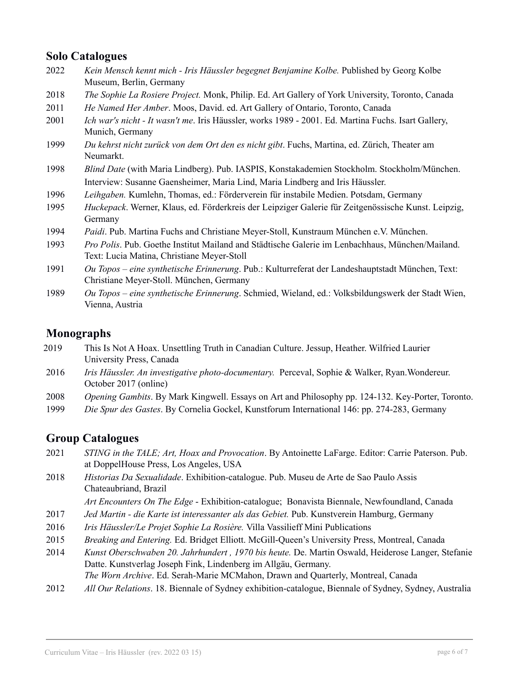### **Solo Catalogues**

- 2022 *Kein Mensch kennt mich - Iris Häussler begegnet Benjamine Kolbe.* Published by Georg Kolbe Museum, Berlin, Germany
- 2018 *The Sophie La Rosiere Project.* Monk, Philip. Ed. Art Gallery of York University, Toronto, Canada
- 2011 *He Named Her Amber*. Moos, David. ed. Art Gallery of Ontario, Toronto, Canada
- 2001 *Ich war's nicht - It wasn't me*. Iris Häussler, works 1989 2001. Ed. Martina Fuchs. Isart Gallery, Munich, Germany
- 1999 *Du kehrst nicht zurück von dem Ort den es nicht gibt*. Fuchs, Martina, ed. Zürich, Theater am Neumarkt.
- 1998 *Blind Date* (with Maria Lindberg). Pub. IASPIS, Konstakademien Stockholm. Stockholm/München. Interview: Susanne Gaensheimer, Maria Lind, Maria Lindberg and Iris Häussler.
- 1996 *Leihgaben.* Kumlehn, Thomas, ed.: Förderverein für instabile Medien. Potsdam, Germany
- 1995 *Huckepack*. Werner, Klaus, ed. Förderkreis der Leipziger Galerie für Zeitgenössische Kunst. Leipzig, Germany
- 1994 *Paidi*. Pub. Martina Fuchs and Christiane Meyer-Stoll, Kunstraum München e.V. München.
- 1993 *Pro Polis*. Pub. Goethe Institut Mailand and Städtische Galerie im Lenbachhaus, München/Mailand. Text: Lucia Matina, Christiane Meyer-Stoll
- 1991 *Ou Topos – eine synthetische Erinnerung*. Pub.: Kulturreferat der Landeshauptstadt München, Text: Christiane Meyer-Stoll. München, Germany
- 1989 *Ou Topos – eine synthetische Erinnerung*. Schmied, Wieland, ed.: Volksbildungswerk der Stadt Wien, Vienna, Austria

## **Monographs**

- 2019 This Is Not A Hoax. Unsettling Truth in Canadian Culture. Jessup, Heather. Wilfried Laurier University Press, Canada
- 2016 *Iris Häussler. An investigative photo-documentary.* Perceval, Sophie & Walker, Ryan.Wondereur. October 2017 (online)
- 2008 *Opening Gambits*. By Mark Kingwell. Essays on Art and Philosophy pp. 124-132. Key-Porter, Toronto.
- 1999 *Die Spur des Gastes*. By Cornelia Gockel, Kunstforum International 146: pp. 274-283, Germany

### **Group Catalogues**

- 2021 *STING in the TALE; Art, Hoax and Provocation*. By Antoinette LaFarge. Editor: Carrie Paterson. Pub. at DoppelHouse Press, Los Angeles, USA
- 2018 *Historias Da Sexualidade*. Exhibition-catalogue. Pub. Museu de Arte de Sao Paulo Assis Chateaubriand, Brazil
	- *Art Encounters On The Edge* Exhibition-catalogue; Bonavista Biennale, Newfoundland, Canada
- 2017 *Jed Martin - die Karte ist interessanter als das Gebiet.* Pub. Kunstverein Hamburg, Germany
- 2016 *Iris Häussler/Le Projet Sophie La Rosière.* Villa Vassilieff Mini Publications
- 2015 *Breaking and Entering.* Ed. Bridget Elliott. McGill-Queen's University Press, Montreal, Canada
- 2014 *Kunst Oberschwaben 20. Jahrhundert , 1970 bis heute.* De. Martin Oswald, Heiderose Langer, Stefanie Datte. Kunstverlag Joseph Fink, Lindenberg im Allgäu, Germany.

*The Worn Archive*. Ed. Serah-Marie MCMahon, Drawn and Quarterly, Montreal, Canada

2012 *All Our Relations*. 18. Biennale of Sydney exhibition-catalogue, Biennale of Sydney, Sydney, Australia